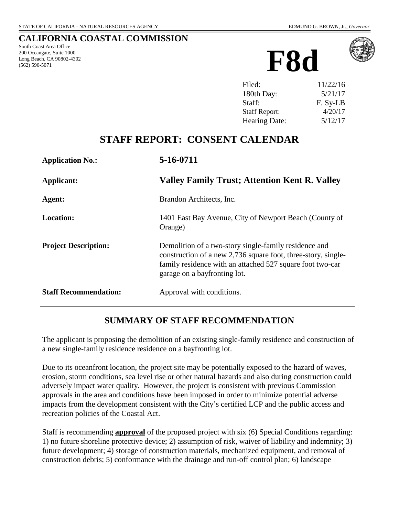#### **CALIFORNIA COASTAL COMMISSION**

South Coast Area Office 200 Oceangate, Suite 1000 Long Beach, CA 90802-4302 (562) 590-5071





| Filed:               | 11/22/16 |
|----------------------|----------|
| 180th Day:           | 5/21/17  |
| Staff:               | F. Sy-LB |
| <b>Staff Report:</b> | 4/20/17  |
| Hearing Date:        | 5/12/17  |

## **STAFF REPORT: CONSENT CALENDAR**

| <b>Application No.:</b>      | 5-16-0711                                                                                                                                                                                                           |
|------------------------------|---------------------------------------------------------------------------------------------------------------------------------------------------------------------------------------------------------------------|
| Applicant:                   | Valley Family Trust; Attention Kent R. Valley                                                                                                                                                                       |
| Agent:                       | Brandon Architects, Inc.                                                                                                                                                                                            |
| <b>Location:</b>             | 1401 East Bay Avenue, City of Newport Beach (County of<br>Orange)                                                                                                                                                   |
| <b>Project Description:</b>  | Demolition of a two-story single-family residence and<br>construction of a new 2,736 square foot, three-story, single-<br>family residence with an attached 527 square foot two-car<br>garage on a bayfronting lot. |
| <b>Staff Recommendation:</b> | Approval with conditions.                                                                                                                                                                                           |

#### **SUMMARY OF STAFF RECOMMENDATION**

The applicant is proposing the demolition of an existing single-family residence and construction of a new single-family residence residence on a bayfronting lot.

Due to its oceanfront location, the project site may be potentially exposed to the hazard of waves, erosion, storm conditions, sea level rise or other natural hazards and also during construction could adversely impact water quality. However, the project is consistent with previous Commission approvals in the area and conditions have been imposed in order to minimize potential adverse impacts from the development consistent with the City's certified LCP and the public access and recreation policies of the Coastal Act.

Staff is recommending **approval** of the proposed project with six (6) Special Conditions regarding: 1) no future shoreline protective device; 2) assumption of risk, waiver of liability and indemnity; 3) future development; 4) storage of construction materials, mechanized equipment, and removal of construction debris; 5) conformance with the drainage and run-off control plan; 6) landscape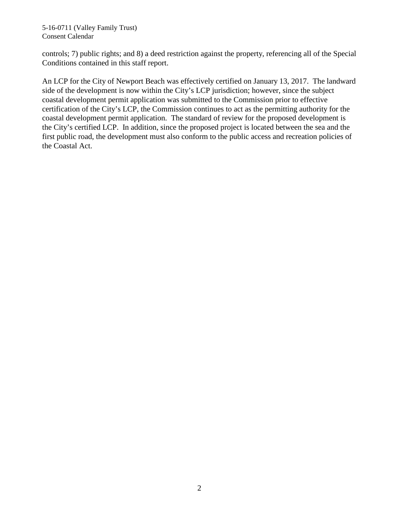controls; 7) public rights; and 8) a deed restriction against the property, referencing all of the Special Conditions contained in this staff report.

An LCP for the City of Newport Beach was effectively certified on January 13, 2017. The landward side of the development is now within the City's LCP jurisdiction; however, since the subject coastal development permit application was submitted to the Commission prior to effective certification of the City's LCP, the Commission continues to act as the permitting authority for the coastal development permit application. The standard of review for the proposed development is the City's certified LCP. In addition, since the proposed project is located between the sea and the first public road, the development must also conform to the public access and recreation policies of the Coastal Act.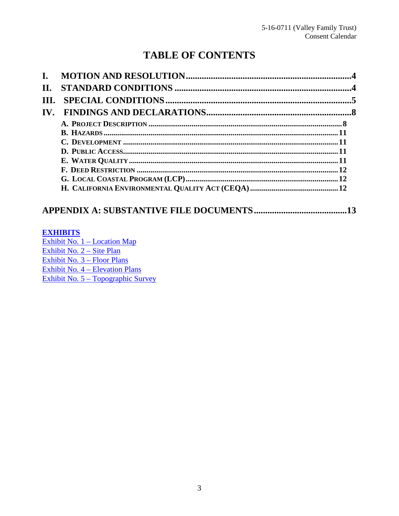# **TABLE OF CONTENTS**

| II.                   |  |
|-----------------------|--|
| III.                  |  |
| $\mathbf{IV}_{\cdot}$ |  |
|                       |  |
|                       |  |
|                       |  |
|                       |  |
|                       |  |
|                       |  |
|                       |  |
|                       |  |

#### 

#### **EXHIBITS**

Exhibit No.  $1 -$ Location Map Exhibit No.  $2 - \text{Site Plan}$ Exhibit No.  $3 -$ Floor Plans Exhibit No.  $4 -$ Elevation Plans Exhibit No.  $5 - Topographic Survey$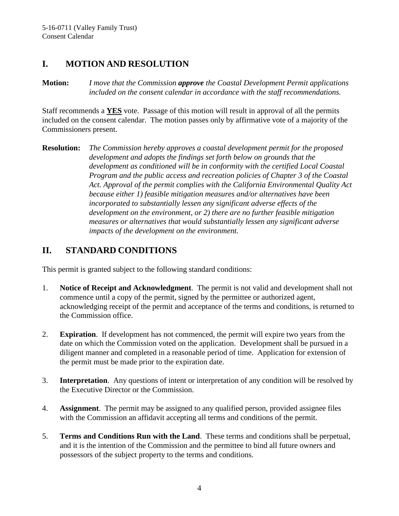### <span id="page-3-0"></span>**I. MOTION AND RESOLUTION**

**Motion:** *I move that the Commission approve the Coastal Development Permit applications included on the consent calendar in accordance with the staff recommendations.*

Staff recommends a **YES** vote. Passage of this motion will result in approval of all the permits included on the consent calendar. The motion passes only by affirmative vote of a majority of the Commissioners present.

**Resolution:** *The Commission hereby approves a coastal development permit for the proposed development and adopts the findings set forth below on grounds that the development as conditioned will be in conformity with the certified Local Coastal Program and the public access and recreation policies of Chapter 3 of the Coastal Act. Approval of the permit complies with the California Environmental Quality Act because either 1) feasible mitigation measures and/or alternatives have been incorporated to substantially lessen any significant adverse effects of the development on the environment, or 2) there are no further feasible mitigation measures or alternatives that would substantially lessen any significant adverse impacts of the development on the environment.*

# <span id="page-3-1"></span>**II. STANDARD CONDITIONS**

This permit is granted subject to the following standard conditions:

- 1. **Notice of Receipt and Acknowledgment**. The permit is not valid and development shall not commence until a copy of the permit, signed by the permittee or authorized agent, acknowledging receipt of the permit and acceptance of the terms and conditions, is returned to the Commission office.
- 2. **Expiration**. If development has not commenced, the permit will expire two years from the date on which the Commission voted on the application. Development shall be pursued in a diligent manner and completed in a reasonable period of time. Application for extension of the permit must be made prior to the expiration date.
- 3. **Interpretation**. Any questions of intent or interpretation of any condition will be resolved by the Executive Director or the Commission.
- 4. **Assignment**. The permit may be assigned to any qualified person, provided assignee files with the Commission an affidavit accepting all terms and conditions of the permit.
- 5. **Terms and Conditions Run with the Land**. These terms and conditions shall be perpetual, and it is the intention of the Commission and the permittee to bind all future owners and possessors of the subject property to the terms and conditions.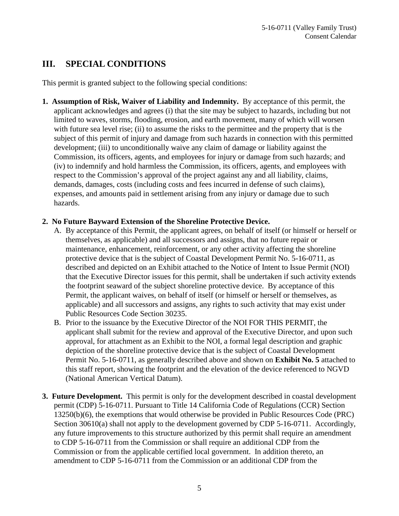# <span id="page-4-0"></span>**III. SPECIAL CONDITIONS**

This permit is granted subject to the following special conditions:

<span id="page-4-1"></span>**1. Assumption of Risk, Waiver of Liability and Indemnity.** By acceptance of this permit, the applicant acknowledges and agrees (i) that the site may be subject to hazards, including but not limited to waves, storms, flooding, erosion, and earth movement, many of which will worsen with future sea level rise; (ii) to assume the risks to the permittee and the property that is the subject of this permit of injury and damage from such hazards in connection with this permitted development; (iii) to unconditionally waive any claim of damage or liability against the Commission, its officers, agents, and employees for injury or damage from such hazards; and (iv) to indemnify and hold harmless the Commission, its officers, agents, and employees with respect to the Commission's approval of the project against any and all liability, claims, demands, damages, costs (including costs and fees incurred in defense of such claims), expenses, and amounts paid in settlement arising from any injury or damage due to such hazards.

#### <span id="page-4-2"></span>**2. No Future Bayward Extension of the Shoreline Protective Device.**

- A. By acceptance of this Permit, the applicant agrees, on behalf of itself (or himself or herself or themselves, as applicable) and all successors and assigns, that no future repair or maintenance, enhancement, reinforcement, or any other activity affecting the shoreline protective device that is the subject of Coastal Development Permit No. 5-16-0711, as described and depicted on an Exhibit attached to the Notice of Intent to Issue Permit (NOI) that the Executive Director issues for this permit, shall be undertaken if such activity extends the footprint seaward of the subject shoreline protective device. By acceptance of this Permit, the applicant waives, on behalf of itself (or himself or herself or themselves, as applicable) and all successors and assigns, any rights to such activity that may exist under Public Resources Code Section 30235.
- B. Prior to the issuance by the Executive Director of the NOI FOR THIS PERMIT, the applicant shall submit for the review and approval of the Executive Director, and upon such approval, for attachment as an Exhibit to the NOI, a formal legal description and graphic depiction of the shoreline protective device that is the subject of Coastal Development Permit No. 5-16-0711, as generally described above and shown on **Exhibit No. 5** attached to this staff report, showing the footprint and the elevation of the device referenced to NGVD (National American Vertical Datum).
- <span id="page-4-3"></span>**3. Future Development.** This permit is only for the development described in coastal development permit (CDP) 5-16-0711. Pursuant to Title 14 California Code of Regulations (CCR) Section 13250(b)(6), the exemptions that would otherwise be provided in Public Resources Code (PRC) Section 30610(a) shall not apply to the development governed by CDP 5-16-0711. Accordingly, any future improvements to this structure authorized by this permit shall require an amendment to CDP 5-16-0711 from the Commission or shall require an additional CDP from the Commission or from the applicable certified local government. In addition thereto, an amendment to CDP 5-16-0711 from the Commission or an additional CDP from the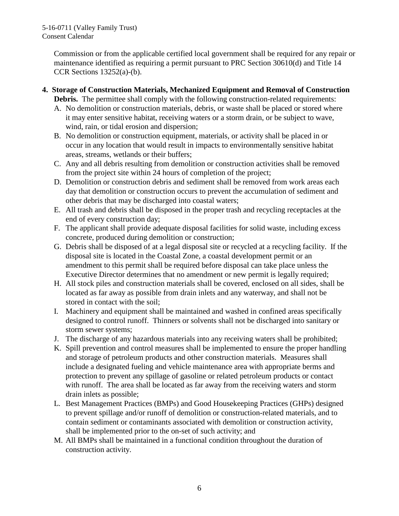Commission or from the applicable certified local government shall be required for any repair or maintenance identified as requiring a permit pursuant to PRC Section 30610(d) and Title 14 CCR Sections  $13252(a)-(b)$ .

- <span id="page-5-0"></span>**4. Storage of Construction Materials, Mechanized Equipment and Removal of Construction Debris.** The permittee shall comply with the following construction-related requirements:
	- A. No demolition or construction materials, debris, or waste shall be placed or stored where it may enter sensitive habitat, receiving waters or a storm drain, or be subject to wave, wind, rain, or tidal erosion and dispersion;
	- B. No demolition or construction equipment, materials, or activity shall be placed in or occur in any location that would result in impacts to environmentally sensitive habitat areas, streams, wetlands or their buffers;
	- C. Any and all debris resulting from demolition or construction activities shall be removed from the project site within 24 hours of completion of the project;
	- D. Demolition or construction debris and sediment shall be removed from work areas each day that demolition or construction occurs to prevent the accumulation of sediment and other debris that may be discharged into coastal waters;
	- E. All trash and debris shall be disposed in the proper trash and recycling receptacles at the end of every construction day;
	- F. The applicant shall provide adequate disposal facilities for solid waste, including excess concrete, produced during demolition or construction;
	- G. Debris shall be disposed of at a legal disposal site or recycled at a recycling facility. If the disposal site is located in the Coastal Zone, a coastal development permit or an amendment to this permit shall be required before disposal can take place unless the Executive Director determines that no amendment or new permit is legally required;
	- H. All stock piles and construction materials shall be covered, enclosed on all sides, shall be located as far away as possible from drain inlets and any waterway, and shall not be stored in contact with the soil;
	- I. Machinery and equipment shall be maintained and washed in confined areas specifically designed to control runoff. Thinners or solvents shall not be discharged into sanitary or storm sewer systems;
	- J. The discharge of any hazardous materials into any receiving waters shall be prohibited;
	- K. Spill prevention and control measures shall be implemented to ensure the proper handling and storage of petroleum products and other construction materials. Measures shall include a designated fueling and vehicle maintenance area with appropriate berms and protection to prevent any spillage of gasoline or related petroleum products or contact with runoff. The area shall be located as far away from the receiving waters and storm drain inlets as possible;
	- L. Best Management Practices (BMPs) and Good Housekeeping Practices (GHPs) designed to prevent spillage and/or runoff of demolition or construction-related materials, and to contain sediment or contaminants associated with demolition or construction activity, shall be implemented prior to the on-set of such activity; and
	- M. All BMPs shall be maintained in a functional condition throughout the duration of construction activity.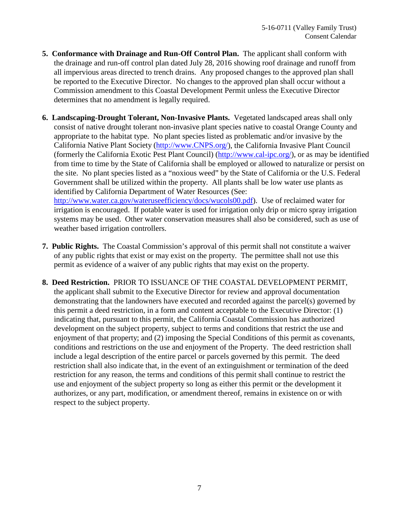- <span id="page-6-0"></span>**5. Conformance with Drainage and Run-Off Control Plan.** The applicant shall conform with the drainage and run-off control plan dated July 28, 2016 showing roof drainage and runoff from all impervious areas directed to trench drains. Any proposed changes to the approved plan shall be reported to the Executive Director. No changes to the approved plan shall occur without a Commission amendment to this Coastal Development Permit unless the Executive Director determines that no amendment is legally required.
- <span id="page-6-1"></span>**6. Landscaping-Drought Tolerant, Non-Invasive Plants.** Vegetated landscaped areas shall only consist of native drought tolerant non-invasive plant species native to coastal Orange County and appropriate to the habitat type. No plant species listed as problematic and/or invasive by the California Native Plant Society [\(http://www.CNPS.org/\)](http://www.cnps.org/), the California Invasive Plant Council (formerly the California Exotic Pest Plant Council) [\(http://www.cal-ipc.org/\)](http://www.cal-ipc.org/), or as may be identified from time to time by the State of California shall be employed or allowed to naturalize or persist on the site. No plant species listed as a "noxious weed" by the State of California or the U.S. Federal Government shall be utilized within the property. All plants shall be low water use plants as identified by California Department of Water Resources (See:

[http://www.water.ca.gov/wateruseefficiency/docs/wucols00.pdf\)](http://www.water.ca.gov/wateruseefficiency/docs/wucols00.pdf). Use of reclaimed water for irrigation is encouraged. If potable water is used for irrigation only drip or micro spray irrigation systems may be used. Other water conservation measures shall also be considered, such as use of weather based irrigation controllers.

- <span id="page-6-2"></span>**7. Public Rights.** The Coastal Commission's approval of this permit shall not constitute a waiver of any public rights that exist or may exist on the property. The permittee shall not use this permit as evidence of a waiver of any public rights that may exist on the property.
- <span id="page-6-3"></span>**8. Deed Restriction.** PRIOR TO ISSUANCE OF THE COASTAL DEVELOPMENT PERMIT, the applicant shall submit to the Executive Director for review and approval documentation demonstrating that the landowners have executed and recorded against the parcel(s) governed by this permit a deed restriction, in a form and content acceptable to the Executive Director: (1) indicating that, pursuant to this permit, the California Coastal Commission has authorized development on the subject property, subject to terms and conditions that restrict the use and enjoyment of that property; and (2) imposing the Special Conditions of this permit as covenants, conditions and restrictions on the use and enjoyment of the Property. The deed restriction shall include a legal description of the entire parcel or parcels governed by this permit. The deed restriction shall also indicate that, in the event of an extinguishment or termination of the deed restriction for any reason, the terms and conditions of this permit shall continue to restrict the use and enjoyment of the subject property so long as either this permit or the development it authorizes, or any part, modification, or amendment thereof, remains in existence on or with respect to the subject property.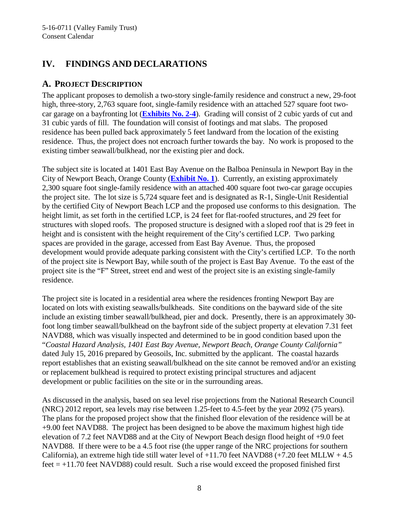# <span id="page-7-0"></span>**IV. FINDINGS AND DECLARATIONS**

#### <span id="page-7-1"></span>**A. PROJECT DESCRIPTION**

The applicant proposes to demolish a two-story single-family residence and construct a new, 29-foot high, three-story, 2,763 square foot, single-family residence with an attached 527 square foot twocar garage on a bayfronting lot (**[Exhibits No. 2-4](https://documents.coastal.ca.gov/reports/2017/5/F8d/F8d-5-2017-exhibits.pdf)**). Grading will consist of 2 cubic yards of cut and 31 cubic yards of fill. The foundation will consist of footings and mat slabs. The proposed residence has been pulled back approximately 5 feet landward from the location of the existing residence. Thus, the project does not encroach further towards the bay. No work is proposed to the existing timber seawall/bulkhead, nor the existing pier and dock.

The subject site is located at 1401 East Bay Avenue on the Balboa Peninsula in Newport Bay in the City of Newport Beach, Orange County (**[Exhibit No. 1](https://documents.coastal.ca.gov/reports/2017/5/F8d/F8d-5-2017-exhibits.pdf)**). Currently, an existing approximately 2,300 square foot single-family residence with an attached 400 square foot two-car garage occupies the project site. The lot size is 5,724 square feet and is designated as R-1, Single-Unit Residential by the certified City of Newport Beach LCP and the proposed use conforms to this designation. The height limit, as set forth in the certified LCP, is 24 feet for flat-roofed structures, and 29 feet for structures with sloped roofs. The proposed structure is designed with a sloped roof that is 29 feet in height and is consistent with the height requirement of the City's certified LCP. Two parking spaces are provided in the garage, accessed from East Bay Avenue. Thus, the proposed development would provide adequate parking consistent with the City's certified LCP. To the north of the project site is Newport Bay, while south of the project is East Bay Avenue. To the east of the project site is the "F" Street, street end and west of the project site is an existing single-family residence.

The project site is located in a residential area where the residences fronting Newport Bay are located on lots with existing seawalls/bulkheads. Site conditions on the bayward side of the site include an existing timber seawall/bulkhead, pier and dock. Presently, there is an approximately 30 foot long timber seawall/bulkhead on the bayfront side of the subject property at elevation 7.31 feet NAVD88, which was visually inspected and determined to be in good condition based upon the "*Coastal Hazard Analysis, 1401 East Bay Avenue, Newport Beach, Orange County California"*  dated July 15, 2016 prepared by Geosoils, Inc. submitted by the applicant. The coastal hazards report establishes that an existing seawall/bulkhead on the site cannot be removed and/or an existing or replacement bulkhead is required to protect existing principal structures and adjacent development or public facilities on the site or in the surrounding areas.

As discussed in the analysis, based on sea level rise projections from the National Research Council (NRC) 2012 report, sea levels may rise between 1.25-feet to 4.5-feet by the year 2092 (75 years). The plans for the proposed project show that the finished floor elevation of the residence will be at +9.00 feet NAVD88. The project has been designed to be above the maximum highest high tide elevation of 7.2 feet NAVD88 and at the City of Newport Beach design flood height of +9.0 feet NAVD88. If there were to be a 4.5 foot rise (the upper range of the NRC projections for southern California), an extreme high tide still water level of  $+11.70$  feet NAVD88 ( $+7.20$  feet MLLW  $+4.5$  $feet = +11.70 feet NAVD88$  could result. Such a rise would exceed the proposed finished first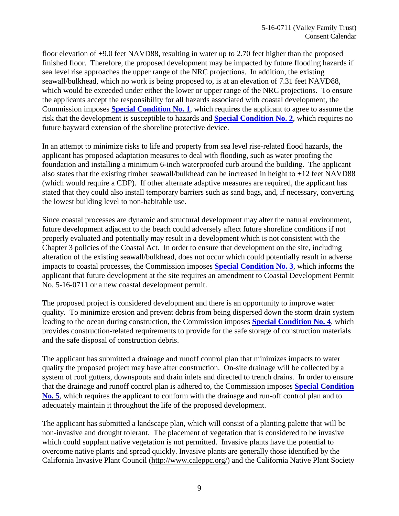floor elevation of +9.0 feet NAVD88, resulting in water up to 2.70 feet higher than the proposed finished floor. Therefore, the proposed development may be impacted by future flooding hazards if sea level rise approaches the upper range of the NRC projections. In addition, the existing seawall/bulkhead, which no work is being proposed to, is at an elevation of 7.31 feet NAVD88, which would be exceeded under either the lower or upper range of the NRC projections. To ensure the applicants accept the responsibility for all hazards associated with coastal development, the Commission imposes **[Special Condition No. 1](#page-4-1)**, which requires the applicant to agree to assume the risk that the development is susceptible to hazards and **[Special Condition No. 2](#page-4-2)**, which requires no future bayward extension of the shoreline protective device.

In an attempt to minimize risks to life and property from sea level rise-related flood hazards, the applicant has proposed adaptation measures to deal with flooding, such as water proofing the foundation and installing a minimum 6-inch waterproofed curb around the building. The applicant also states that the existing timber seawall/bulkhead can be increased in height to +12 feet NAVD88 (which would require a CDP). If other alternate adaptive measures are required, the applicant has stated that they could also install temporary barriers such as sand bags, and, if necessary, converting the lowest building level to non-habitable use.

Since coastal processes are dynamic and structural development may alter the natural environment, future development adjacent to the beach could adversely affect future shoreline conditions if not properly evaluated and potentially may result in a development which is not consistent with the Chapter 3 policies of the Coastal Act. In order to ensure that development on the site, including alteration of the existing seawall/bulkhead, does not occur which could potentially result in adverse impacts to coastal processes, the Commission imposes **[Special Condition No. 3](#page-4-3)**, which informs the applicant that future development at the site requires an amendment to Coastal Development Permit No. 5-16-0711 or a new coastal development permit.

The proposed project is considered development and there is an opportunity to improve water quality. To minimize erosion and prevent debris from being dispersed down the storm drain system leading to the ocean during construction, the Commission imposes **[Special Condition No. 4](#page-5-0)**, which provides construction-related requirements to provide for the safe storage of construction materials and the safe disposal of construction debris.

The applicant has submitted a drainage and runoff control plan that minimizes impacts to water quality the proposed project may have after construction. On-site drainage will be collected by a system of roof gutters, downspouts and drain inlets and directed to trench drains. In order to ensure that the drainage and runoff control plan is adhered to, the Commission imposes **[Special Condition](#page-6-0)  [No. 5](#page-6-0)**, which requires the applicant to conform with the drainage and run-off control plan and to adequately maintain it throughout the life of the proposed development.

The applicant has submitted a landscape plan, which will consist of a planting palette that will be non-invasive and drought tolerant. The placement of vegetation that is considered to be invasive which could supplant native vegetation is not permitted. Invasive plants have the potential to overcome native plants and spread quickly. Invasive plants are generally those identified by the California Invasive Plant Council [\(http://www.caleppc.org/\)](http://www.caleppc.org/) and the California Native Plant Society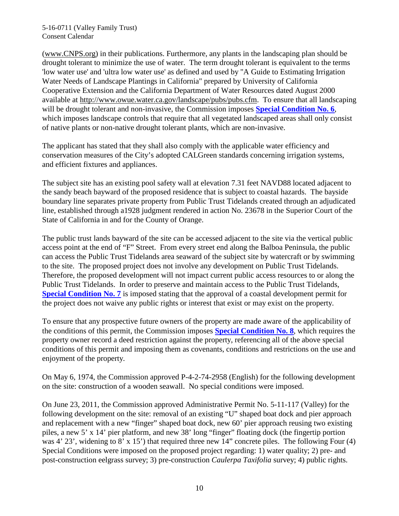[\(www.CNPS.org\)](http://www.cnps.org/) in their publications. Furthermore, any plants in the landscaping plan should be drought tolerant to minimize the use of water. The term drought tolerant is equivalent to the terms 'low water use' and 'ultra low water use' as defined and used by "A Guide to Estimating Irrigation Water Needs of Landscape Plantings in California" prepared by University of California Cooperative Extension and the California Department of Water Resources dated August 2000 available at [http://www.owue.water.ca.gov/landscape/pubs/pubs.cfm.](http://www.owue.water.ca.gov/landscape/pubs/pubs.cfm) To ensure that all landscaping will be drought tolerant and non-invasive, the Commission imposes **[Special Condition No. 6](#page-6-1)**, which imposes landscape controls that require that all vegetated landscaped areas shall only consist of native plants or non-native drought tolerant plants, which are non-invasive.

The applicant has stated that they shall also comply with the applicable water efficiency and conservation measures of the City's adopted CALGreen standards concerning irrigation systems, and efficient fixtures and appliances.

The subject site has an existing pool safety wall at elevation 7.31 feet NAVD88 located adjacent to the sandy beach bayward of the proposed residence that is subject to coastal hazards. The bayside boundary line separates private property from Public Trust Tidelands created through an adjudicated line, established through a1928 judgment rendered in action No. 23678 in the Superior Court of the State of California in and for the County of Orange.

The public trust lands bayward of the site can be accessed adjacent to the site via the vertical public access point at the end of "F" Street. From every street end along the Balboa Peninsula, the public can access the Public Trust Tidelands area seaward of the subject site by watercraft or by swimming to the site. The proposed project does not involve any development on Public Trust Tidelands. Therefore, the proposed development will not impact current public access resources to or along the Public Trust Tidelands. In order to preserve and maintain access to the Public Trust Tidelands, **[Special Condition No. 7](#page-6-2)** is imposed stating that the approval of a coastal development permit for the project does not waive any public rights or interest that exist or may exist on the property.

To ensure that any prospective future owners of the property are made aware of the applicability of the conditions of this permit, the Commission imposes **[Special Condition No. 8](#page-6-3)**, which requires the property owner record a deed restriction against the property, referencing all of the above special conditions of this permit and imposing them as covenants, conditions and restrictions on the use and enjoyment of the property.

On May 6, 1974, the Commission approved P-4-2-74-2958 (English) for the following development on the site: construction of a wooden seawall. No special conditions were imposed.

On June 23, 2011, the Commission approved Administrative Permit No. 5-11-117 (Valley) for the following development on the site: removal of an existing "U" shaped boat dock and pier approach and replacement with a new "finger" shaped boat dock, new 60' pier approach reusing two existing piles, a new 5' x 14' pier platform, and new 38' long "finger" floating dock (the fingertip portion was 4' 23', widening to 8' x 15') that required three new 14" concrete piles. The following Four (4) Special Conditions were imposed on the proposed project regarding: 1) water quality; 2) pre- and post-construction eelgrass survey; 3) pre-construction *Caulerpa Taxifolia* survey; 4) public rights.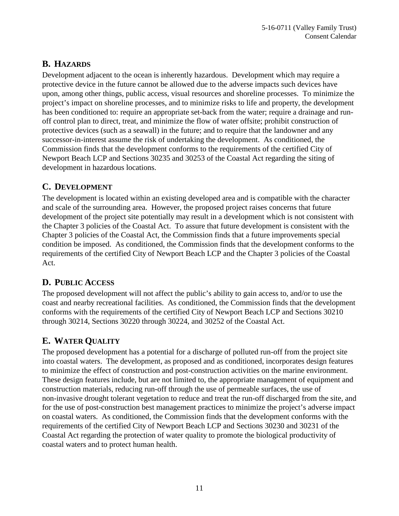### <span id="page-10-0"></span>**B. HAZARDS**

Development adjacent to the ocean is inherently hazardous. Development which may require a protective device in the future cannot be allowed due to the adverse impacts such devices have upon, among other things, public access, visual resources and shoreline processes. To minimize the project's impact on shoreline processes, and to minimize risks to life and property, the development has been conditioned to: require an appropriate set-back from the water; require a drainage and runoff control plan to direct, treat, and minimize the flow of water offsite; prohibit construction of protective devices (such as a seawall) in the future; and to require that the landowner and any successor-in-interest assume the risk of undertaking the development. As conditioned, the Commission finds that the development conforms to the requirements of the certified City of Newport Beach LCP and Sections 30235 and 30253 of the Coastal Act regarding the siting of development in hazardous locations.

#### <span id="page-10-1"></span>**C. DEVELOPMENT**

The development is located within an existing developed area and is compatible with the character and scale of the surrounding area. However, the proposed project raises concerns that future development of the project site potentially may result in a development which is not consistent with the Chapter 3 policies of the Coastal Act. To assure that future development is consistent with the Chapter 3 policies of the Coastal Act, the Commission finds that a future improvements special condition be imposed. As conditioned, the Commission finds that the development conforms to the requirements of the certified City of Newport Beach LCP and the Chapter 3 policies of the Coastal Act.

#### <span id="page-10-2"></span>**D. PUBLIC ACCESS**

The proposed development will not affect the public's ability to gain access to, and/or to use the coast and nearby recreational facilities. As conditioned, the Commission finds that the development conforms with the requirements of the certified City of Newport Beach LCP and Sections 30210 through 30214, Sections 30220 through 30224, and 30252 of the Coastal Act.

## <span id="page-10-3"></span>**E. WATER QUALITY**

The proposed development has a potential for a discharge of polluted run-off from the project site into coastal waters. The development, as proposed and as conditioned, incorporates design features to minimize the effect of construction and post-construction activities on the marine environment. These design features include, but are not limited to, the appropriate management of equipment and construction materials, reducing run-off through the use of permeable surfaces, the use of non-invasive drought tolerant vegetation to reduce and treat the run-off discharged from the site, and for the use of post-construction best management practices to minimize the project's adverse impact on coastal waters. As conditioned, the Commission finds that the development conforms with the requirements of the certified City of Newport Beach LCP and Sections 30230 and 30231 of the Coastal Act regarding the protection of water quality to promote the biological productivity of coastal waters and to protect human health.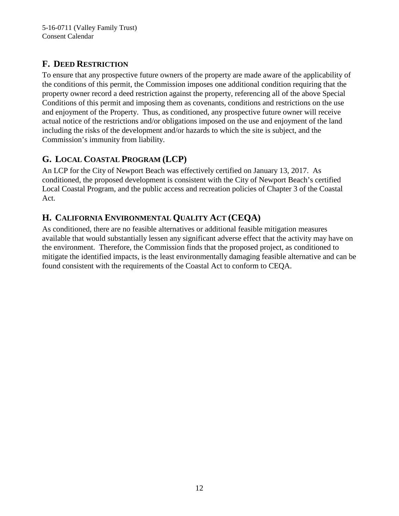# <span id="page-11-0"></span>**F. DEED RESTRICTION**

To ensure that any prospective future owners of the property are made aware of the applicability of the conditions of this permit, the Commission imposes one additional condition requiring that the property owner record a deed restriction against the property, referencing all of the above Special Conditions of this permit and imposing them as covenants, conditions and restrictions on the use and enjoyment of the Property. Thus, as conditioned, any prospective future owner will receive actual notice of the restrictions and/or obligations imposed on the use and enjoyment of the land including the risks of the development and/or hazards to which the site is subject, and the Commission's immunity from liability.

# <span id="page-11-1"></span>**G. LOCAL COASTAL PROGRAM (LCP)**

An LCP for the City of Newport Beach was effectively certified on January 13, 2017. As conditioned, the proposed development is consistent with the City of Newport Beach's certified Local Coastal Program, and the public access and recreation policies of Chapter 3 of the Coastal Act.

# <span id="page-11-2"></span>**H. CALIFORNIA ENVIRONMENTAL QUALITY ACT (CEQA)**

As conditioned, there are no feasible alternatives or additional feasible mitigation measures available that would substantially lessen any significant adverse effect that the activity may have on the environment. Therefore, the Commission finds that the proposed project, as conditioned to mitigate the identified impacts, is the least environmentally damaging feasible alternative and can be found consistent with the requirements of the Coastal Act to conform to CEQA.